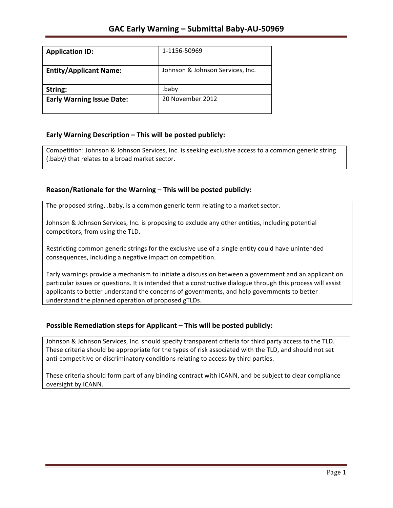| <b>Application ID:</b>           | 1-1156-50969                     |
|----------------------------------|----------------------------------|
| <b>Entity/Applicant Name:</b>    | Johnson & Johnson Services, Inc. |
| String:                          | .baby                            |
| <b>Early Warning Issue Date:</b> | 20 November 2012                 |

## **Early Warning Description – This will be posted publicly:**

Competition: Johnson & Johnson Services, Inc. is seeking exclusive access to a common generic string (.baby) that relates to a broad market sector.

## Reason/Rationale for the Warning – This will be posted publicly:

The proposed string, .baby, is a common generic term relating to a market sector.

Johnson & Johnson Services, Inc. is proposing to exclude any other entities, including potential competitors, from using the TLD.

Restricting common generic strings for the exclusive use of a single entity could have unintended consequences, including a negative impact on competition.

Early warnings provide a mechanism to initiate a discussion between a government and an applicant on particular issues or questions. It is intended that a constructive dialogue through this process will assist applicants to better understand the concerns of governments, and help governments to better understand the planned operation of proposed gTLDs.

### **Possible Remediation steps for Applicant – This will be posted publicly:**

Johnson & Johnson Services, Inc. should specify transparent criteria for third party access to the TLD. These criteria should be appropriate for the types of risk associated with the TLD, and should not set anti-competitive or discriminatory conditions relating to access by third parties.

These criteria should form part of any binding contract with ICANN, and be subject to clear compliance oversight by ICANN.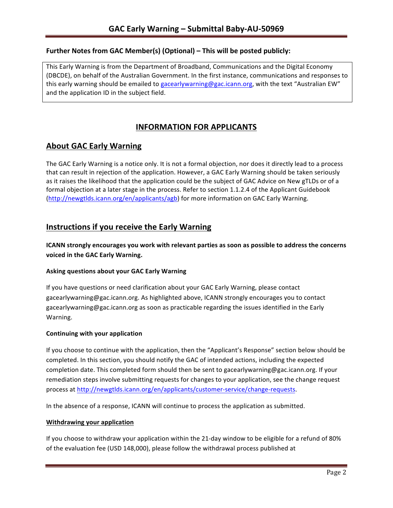## **Further Notes from GAC Member(s) (Optional) – This will be posted publicly:**

This Early Warning is from the Department of Broadband, Communications and the Digital Economy (DBCDE), on behalf of the Australian Government. In the first instance, communications and responses to this early warning should be emailed to gacearlywarning@gac.icann.org, with the text "Australian EW" and the application ID in the subject field.

# **INFORMATION FOR APPLICANTS**

## **About GAC Early Warning**

The GAC Early Warning is a notice only. It is not a formal objection, nor does it directly lead to a process that can result in rejection of the application. However, a GAC Early Warning should be taken seriously as it raises the likelihood that the application could be the subject of GAC Advice on New gTLDs or of a formal objection at a later stage in the process. Refer to section 1.1.2.4 of the Applicant Guidebook (http://newgtlds.icann.org/en/applicants/agb) for more information on GAC Early Warning.

## **Instructions if you receive the Early Warning**

**ICANN** strongly encourages you work with relevant parties as soon as possible to address the concerns **voiced in the GAC Early Warning.** 

### **Asking questions about your GAC Early Warning**

If you have questions or need clarification about your GAC Early Warning, please contact gacearlywarning@gac.icann.org. As highlighted above, ICANN strongly encourages you to contact gacearlywarning@gac.icann.org as soon as practicable regarding the issues identified in the Early Warning. 

### **Continuing with your application**

If you choose to continue with the application, then the "Applicant's Response" section below should be completed. In this section, you should notify the GAC of intended actions, including the expected completion date. This completed form should then be sent to gacearlywarning@gac.icann.org. If your remediation steps involve submitting requests for changes to your application, see the change request process at http://newgtlds.icann.org/en/applicants/customer-service/change-requests.

In the absence of a response, ICANN will continue to process the application as submitted.

### **Withdrawing your application**

If you choose to withdraw your application within the 21-day window to be eligible for a refund of 80% of the evaluation fee (USD 148,000), please follow the withdrawal process published at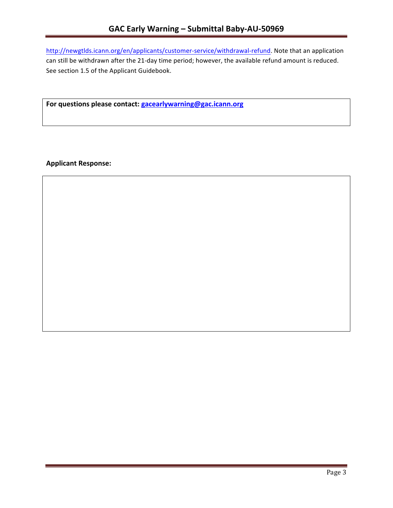http://newgtlds.icann.org/en/applicants/customer-service/withdrawal-refund. Note that an application can still be withdrawn after the 21-day time period; however, the available refund amount is reduced. See section 1.5 of the Applicant Guidebook.

For questions please contact: gacearlywarning@gac.icann.org

**Applicant Response:**